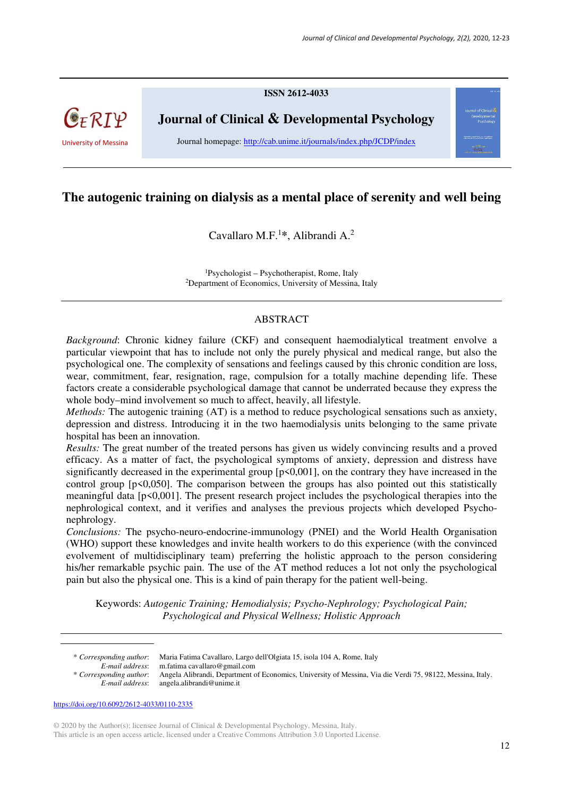**ISSN 2612-4033** 



**Journal of Clinical & Developmental Psychology** 

University of Messina Journal homepage: http://cab.unime.it/journals/index.php/JCDP/index

# **The autogenic training on dialysis as a mental place of serenity and well being**

Cavallaro M.F.<sup>1</sup> **\***, Alibrandi A.<sup>2</sup>

<sup>1</sup>Psychologist – Psychotherapist, Rome, Italy <sup>2</sup>Department of Economics, University of Messina, Italy

#### ABSTRACT

*Background*: Chronic kidney failure (CKF) and consequent haemodialytical treatment envolve a particular viewpoint that has to include not only the purely physical and medical range, but also the psychological one. The complexity of sensations and feelings caused by this chronic condition are loss, wear, commitment, fear, resignation, rage, compulsion for a totally machine depending life. These factors create a considerable psychological damage that cannot be underrated because they express the whole body–mind involvement so much to affect, heavily, all lifestyle.

*Methods:* The autogenic training (AT) is a method to reduce psychological sensations such as anxiety, depression and distress. Introducing it in the two haemodialysis units belonging to the same private hospital has been an innovation.

*Results:* The great number of the treated persons has given us widely convincing results and a proved efficacy. As a matter of fact, the psychological symptoms of anxiety, depression and distress have significantly decreased in the experimental group  $[p \le 0.001]$ , on the contrary they have increased in the control group [p<0,050]. The comparison between the groups has also pointed out this statistically meaningful data [p<0,001]. The present research project includes the psychological therapies into the nephrological context, and it verifies and analyses the previous projects which developed Psychonephrology.

*Conclusions:* The psycho-neuro-endocrine-immunology (PNEI) and the World Health Organisation (WHO) support these knowledges and invite health workers to do this experience (with the convinced evolvement of multidisciplinary team) preferring the holistic approach to the person considering his/her remarkable psychic pain. The use of the AT method reduces a lot not only the psychological pain but also the physical one. This is a kind of pain therapy for the patient well-being.

Keywords: *Autogenic Training; Hemodialysis; Psycho-Nephrology; Psychological Pain; Psychological and Physical Wellness; Holistic Approach*

© 2020 by the Author(s); licensee Journal of Clinical & Developmental Psychology, Messina, Italy. This article is an open access article, licensed under a Creative Commons Attribution 3.0 Unported License.

<sup>\*</sup> *Corresponding author*: Maria Fatima Cavallaro, Largo dell'Olgiata 15, isola 104 A, Rome, Italy *E-mail address*: m.fatima cavallaro@gmail.com

<sup>\*</sup> *Corresponding author*: Angela Alibrandi, Department of Economics, University of Messina, Via die Verdi 75, 98122, Messina, Italy. *E-mail address*: angela.alibrandi@unime.it

https://doi.org/10.6092/2612-4033/0110-2335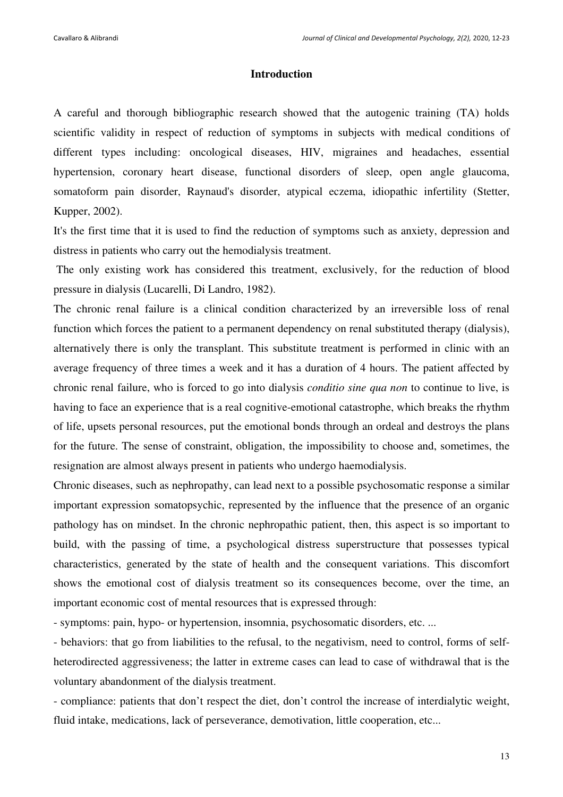#### **Introduction**

A careful and thorough bibliographic research showed that the autogenic training (TA) holds scientific validity in respect of reduction of symptoms in subjects with medical conditions of different types including: oncological diseases, HIV, migraines and headaches, essential hypertension, coronary heart disease, functional disorders of sleep, open angle glaucoma, somatoform pain disorder, Raynaud's disorder, atypical eczema, idiopathic infertility (Stetter, Kupper, 2002).

It's the first time that it is used to find the reduction of symptoms such as anxiety, depression and distress in patients who carry out the hemodialysis treatment.

 The only existing work has considered this treatment, exclusively, for the reduction of blood pressure in dialysis (Lucarelli, Di Landro, 1982).

The chronic renal failure is a clinical condition characterized by an irreversible loss of renal function which forces the patient to a permanent dependency on renal substituted therapy (dialysis), alternatively there is only the transplant. This substitute treatment is performed in clinic with an average frequency of three times a week and it has a duration of 4 hours. The patient affected by chronic renal failure, who is forced to go into dialysis *conditio sine qua non* to continue to live, is having to face an experience that is a real cognitive-emotional catastrophe, which breaks the rhythm of life, upsets personal resources, put the emotional bonds through an ordeal and destroys the plans for the future. The sense of constraint, obligation, the impossibility to choose and, sometimes, the resignation are almost always present in patients who undergo haemodialysis.

Chronic diseases, such as nephropathy, can lead next to a possible psychosomatic response a similar important expression somatopsychic, represented by the influence that the presence of an organic pathology has on mindset. In the chronic nephropathic patient, then, this aspect is so important to build, with the passing of time, a psychological distress superstructure that possesses typical characteristics, generated by the state of health and the consequent variations. This discomfort shows the emotional cost of dialysis treatment so its consequences become, over the time, an important economic cost of mental resources that is expressed through:

- symptoms: pain, hypo- or hypertension, insomnia, psychosomatic disorders, etc. ...

- behaviors: that go from liabilities to the refusal, to the negativism, need to control, forms of selfheterodirected aggressiveness; the latter in extreme cases can lead to case of withdrawal that is the voluntary abandonment of the dialysis treatment.

- compliance: patients that don't respect the diet, don't control the increase of interdialytic weight, fluid intake, medications, lack of perseverance, demotivation, little cooperation, etc...

13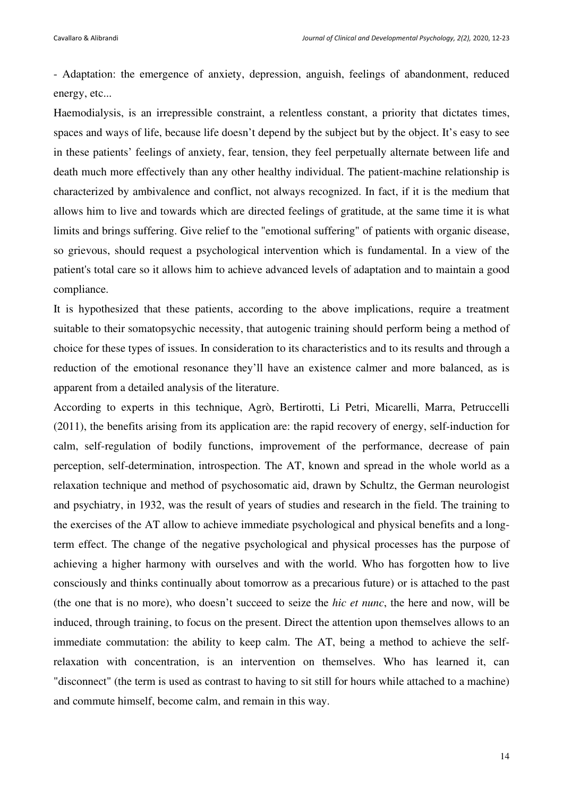- Adaptation: the emergence of anxiety, depression, anguish, feelings of abandonment, reduced energy, etc...

Haemodialysis, is an irrepressible constraint, a relentless constant, a priority that dictates times, spaces and ways of life, because life doesn't depend by the subject but by the object. It's easy to see in these patients' feelings of anxiety, fear, tension, they feel perpetually alternate between life and death much more effectively than any other healthy individual. The patient-machine relationship is characterized by ambivalence and conflict, not always recognized. In fact, if it is the medium that allows him to live and towards which are directed feelings of gratitude, at the same time it is what limits and brings suffering. Give relief to the "emotional suffering" of patients with organic disease, so grievous, should request a psychological intervention which is fundamental. In a view of the patient's total care so it allows him to achieve advanced levels of adaptation and to maintain a good compliance.

It is hypothesized that these patients, according to the above implications, require a treatment suitable to their somatopsychic necessity, that autogenic training should perform being a method of choice for these types of issues. In consideration to its characteristics and to its results and through a reduction of the emotional resonance they'll have an existence calmer and more balanced, as is apparent from a detailed analysis of the literature.

According to experts in this technique, Agrò, Bertirotti, Li Petri, Micarelli, Marra, Petruccelli (2011), the benefits arising from its application are: the rapid recovery of energy, self-induction for calm, self-regulation of bodily functions, improvement of the performance, decrease of pain perception, self-determination, introspection. The AT, known and spread in the whole world as a relaxation technique and method of psychosomatic aid, drawn by Schultz, the German neurologist and psychiatry, in 1932, was the result of years of studies and research in the field. The training to the exercises of the AT allow to achieve immediate psychological and physical benefits and a longterm effect. The change of the negative psychological and physical processes has the purpose of achieving a higher harmony with ourselves and with the world. Who has forgotten how to live consciously and thinks continually about tomorrow as a precarious future) or is attached to the past (the one that is no more), who doesn't succeed to seize the *hic et nunc*, the here and now, will be induced, through training, to focus on the present. Direct the attention upon themselves allows to an immediate commutation: the ability to keep calm. The AT, being a method to achieve the selfrelaxation with concentration, is an intervention on themselves. Who has learned it, can "disconnect" (the term is used as contrast to having to sit still for hours while attached to a machine) and commute himself, become calm, and remain in this way.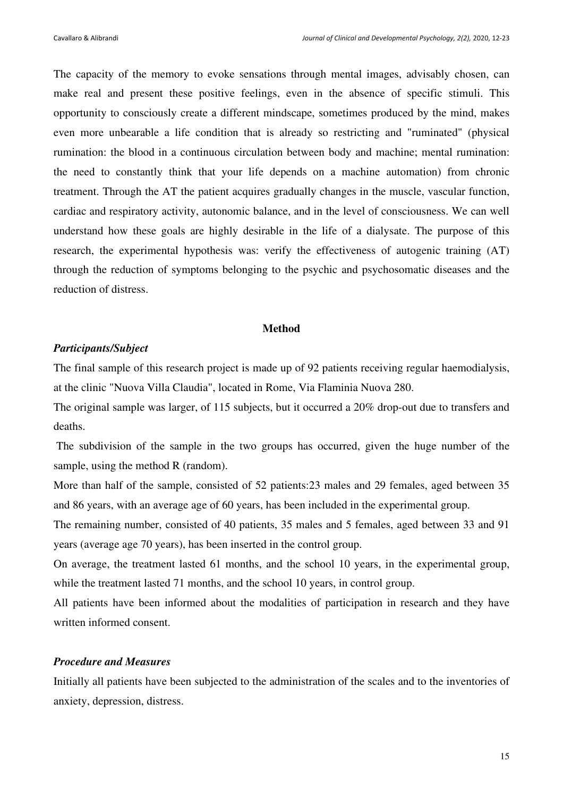The capacity of the memory to evoke sensations through mental images, advisably chosen, can make real and present these positive feelings, even in the absence of specific stimuli. This opportunity to consciously create a different mindscape, sometimes produced by the mind, makes even more unbearable a life condition that is already so restricting and "ruminated" (physical rumination: the blood in a continuous circulation between body and machine; mental rumination: the need to constantly think that your life depends on a machine automation) from chronic treatment. Through the AT the patient acquires gradually changes in the muscle, vascular function, cardiac and respiratory activity, autonomic balance, and in the level of consciousness. We can well understand how these goals are highly desirable in the life of a dialysate. The purpose of this research, the experimental hypothesis was: verify the effectiveness of autogenic training (AT) through the reduction of symptoms belonging to the psychic and psychosomatic diseases and the reduction of distress.

#### **Method**

#### *Participants/Subject*

The final sample of this research project is made up of 92 patients receiving regular haemodialysis, at the clinic "Nuova Villa Claudia", located in Rome, Via Flaminia Nuova 280.

The original sample was larger, of 115 subjects, but it occurred a 20% drop-out due to transfers and deaths.

 The subdivision of the sample in the two groups has occurred, given the huge number of the sample, using the method R (random).

More than half of the sample, consisted of 52 patients:23 males and 29 females, aged between 35 and 86 years, with an average age of 60 years, has been included in the experimental group.

The remaining number, consisted of 40 patients, 35 males and 5 females, aged between 33 and 91 years (average age 70 years), has been inserted in the control group.

On average, the treatment lasted 61 months, and the school 10 years, in the experimental group, while the treatment lasted 71 months, and the school 10 years, in control group.

All patients have been informed about the modalities of participation in research and they have written informed consent.

## *Procedure and Measures*

Initially all patients have been subjected to the administration of the scales and to the inventories of anxiety, depression, distress.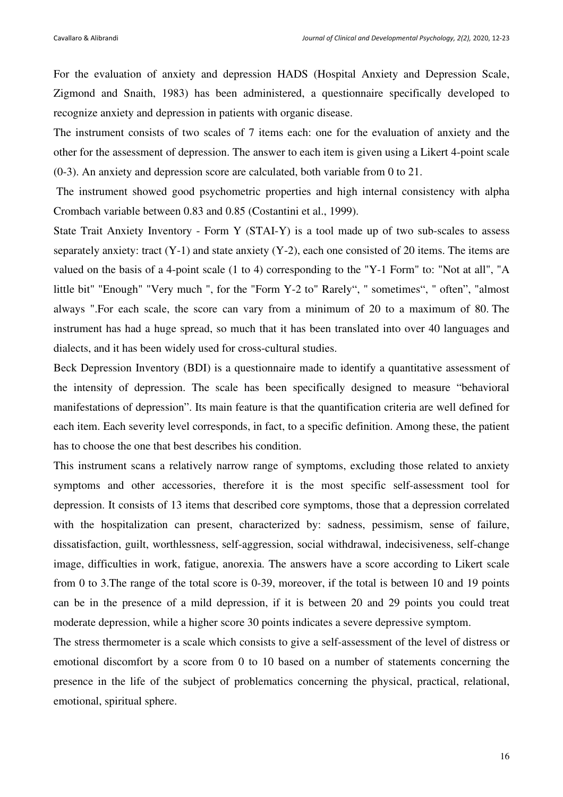For the evaluation of anxiety and depression HADS (Hospital Anxiety and Depression Scale, Zigmond and Snaith, 1983) has been administered, a questionnaire specifically developed to recognize anxiety and depression in patients with organic disease.

The instrument consists of two scales of 7 items each: one for the evaluation of anxiety and the other for the assessment of depression. The answer to each item is given using a Likert 4-point scale (0-3). An anxiety and depression score are calculated, both variable from 0 to 21.

 The instrument showed good psychometric properties and high internal consistency with alpha Crombach variable between 0.83 and 0.85 (Costantini et al., 1999).

State Trait Anxiety Inventory - Form Y (STAI-Y) is a tool made up of two sub-scales to assess separately anxiety: tract (Y-1) and state anxiety (Y-2), each one consisted of 20 items. The items are valued on the basis of a 4-point scale (1 to 4) corresponding to the "Y-1 Form" to: "Not at all", "A little bit" "Enough" "Very much ", for the "Form Y-2 to" Rarely", " sometimes", " often", "almost always ".For each scale, the score can vary from a minimum of 20 to a maximum of 80. The instrument has had a huge spread, so much that it has been translated into over 40 languages and dialects, and it has been widely used for cross-cultural studies.

Beck Depression Inventory (BDI) is a questionnaire made to identify a quantitative assessment of the intensity of depression. The scale has been specifically designed to measure "behavioral manifestations of depression". Its main feature is that the quantification criteria are well defined for each item. Each severity level corresponds, in fact, to a specific definition. Among these, the patient has to choose the one that best describes his condition.

This instrument scans a relatively narrow range of symptoms, excluding those related to anxiety symptoms and other accessories, therefore it is the most specific self-assessment tool for depression. It consists of 13 items that described core symptoms, those that a depression correlated with the hospitalization can present, characterized by: sadness, pessimism, sense of failure, dissatisfaction, guilt, worthlessness, self-aggression, social withdrawal, indecisiveness, self-change image, difficulties in work, fatigue, anorexia. The answers have a score according to Likert scale from 0 to 3.The range of the total score is 0-39, moreover, if the total is between 10 and 19 points can be in the presence of a mild depression, if it is between 20 and 29 points you could treat moderate depression, while a higher score 30 points indicates a severe depressive symptom.

The stress thermometer is a scale which consists to give a self-assessment of the level of distress or emotional discomfort by a score from 0 to 10 based on a number of statements concerning the presence in the life of the subject of problematics concerning the physical, practical, relational, emotional, spiritual sphere.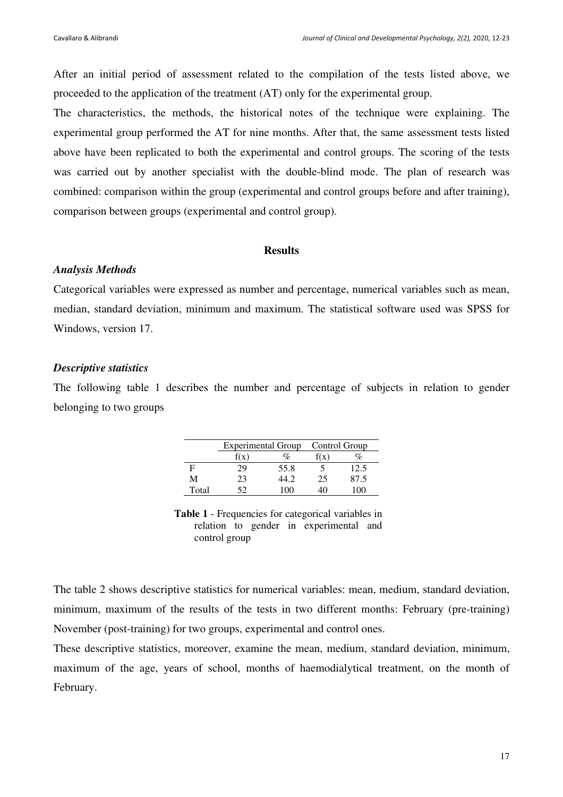After an initial period of assessment related to the compilation of the tests listed above, we proceeded to the application of the treatment (AT) only for the experimental group.

The characteristics, the methods, the historical notes of the technique were explaining. The experimental group performed the AT for nine months. After that, the same assessment tests listed above have been replicated to both the experimental and control groups. The scoring of the tests was carried out by another specialist with the double-blind mode. The plan of research was combined: comparison within the group (experimental and control groups before and after training), comparison between groups (experimental and control group).

#### **Results**

#### *Analysis Methods*

Categorical variables were expressed as number and percentage, numerical variables such as mean, median, standard deviation, minimum and maximum. The statistical software used was SPSS for Windows, version 17.

## *Descriptive statistics*

The following table 1 describes the number and percentage of subjects in relation to gender belonging to two groups

|       | <b>Experimental Group</b> |      | Control Group |      |
|-------|---------------------------|------|---------------|------|
|       | f(x)                      |      |               |      |
| F     | 29                        | 55.8 |               | 12.5 |
| M     | 23                        | 44.2 | 25            | 87.5 |
| Total | ເາ                        | ואו  |               |      |

**Table 1** - Frequencies for categorical variables in relation to gender in experimental and control group

The table 2 shows descriptive statistics for numerical variables: mean, medium, standard deviation, minimum, maximum of the results of the tests in two different months: February (pre-training) November (post-training) for two groups, experimental and control ones.

These descriptive statistics, moreover, examine the mean, medium, standard deviation, minimum, maximum of the age, years of school, months of haemodialytical treatment, on the month of February.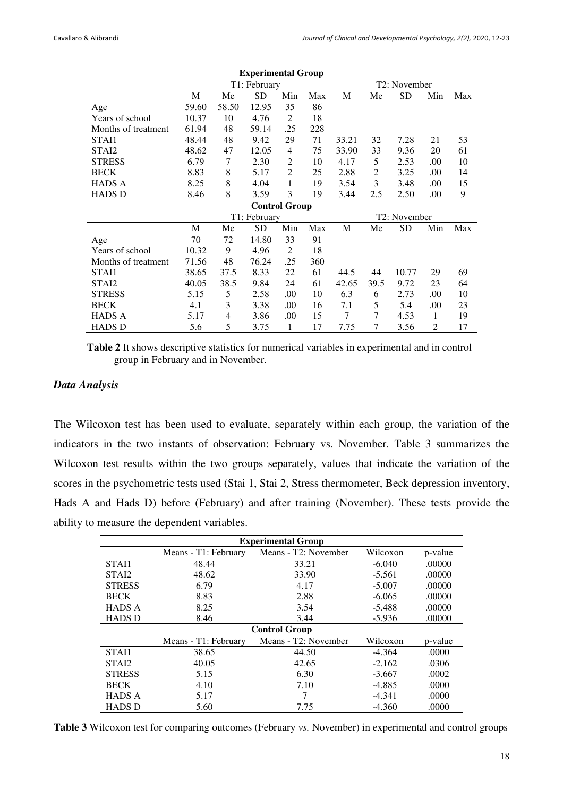| <b>Experimental Group</b> |              |       |           |                      |              |              |                |           |                |     |
|---------------------------|--------------|-------|-----------|----------------------|--------------|--------------|----------------|-----------|----------------|-----|
|                           | T1: February |       |           |                      | T2: November |              |                |           |                |     |
|                           | M            | Me    | <b>SD</b> | Min                  | Max          | M            | Me             | SD        | Min            | Max |
| Age                       | 59.60        | 58.50 | 12.95     | 35                   | 86           |              |                |           |                |     |
| Years of school           | 10.37        | 10    | 4.76      | $\overline{2}$       | 18           |              |                |           |                |     |
| Months of treatment       | 61.94        | 48    | 59.14     | .25                  | 228          |              |                |           |                |     |
| STAI1                     | 48.44        | 48    | 9.42      | 29                   | 71           | 33.21        | 32             | 7.28      | 21             | 53  |
| STAI2                     | 48.62        | 47    | 12.05     | 4                    | 75           | 33.90        | 33             | 9.36      | 20             | 61  |
| <b>STRESS</b>             | 6.79         | 7     | 2.30      | $\overline{2}$       | 10           | 4.17         | 5              | 2.53      | .00            | 10  |
| <b>BECK</b>               | 8.83         | 8     | 5.17      | $\overline{2}$       | 25           | 2.88         | $\overline{2}$ | 3.25      | .00            | 14  |
| <b>HADS A</b>             | 8.25         | 8     | 4.04      | 1                    | 19           | 3.54         | 3              | 3.48      | .00            | 15  |
| <b>HADS D</b>             | 8.46         | 8     | 3.59      | 3                    | 19           | 3.44         | 2.5            | 2.50      | .00            | 9   |
|                           |              |       |           | <b>Control Group</b> |              |              |                |           |                |     |
|                           | T1: February |       |           |                      |              | T2: November |                |           |                |     |
|                           | M            | Me    | <b>SD</b> | Min                  | Max          | M            | Me             | <b>SD</b> | Min            | Max |
| Age                       | 70           | 72    | 14.80     | 33                   | 91           |              |                |           |                |     |
| Years of school           | 10.32        | 9     | 4.96      | 2                    | 18           |              |                |           |                |     |
| Months of treatment       | 71.56        | 48    | 76.24     | .25                  | 360          |              |                |           |                |     |
| STAI1                     | 38.65        | 37.5  | 8.33      | 22                   | 61           | 44.5         | 44             | 10.77     | 29             | 69  |
| STA <sub>I</sub> 2        | 40.05        | 38.5  | 9.84      | 24                   | 61           | 42.65        | 39.5           | 9.72      | 23             | 64  |
| <b>STRESS</b>             | 5.15         | 5     | 2.58      | .00                  | 10           | 6.3          | 6              | 2.73      | .00            | 10  |
| <b>BECK</b>               | 4.1          | 3     | 3.38      | .00                  | 16           | 7.1          | 5              | 5.4       | .00            | 23  |
| <b>HADS A</b>             | 5.17         | 4     | 3.86      | .00                  | 15           | 7            | 7              | 4.53      | 1              | 19  |
| <b>HADS D</b>             | 5.6          | 5     | 3.75      | 1                    | 17           | 7.75         | 7              | 3.56      | $\mathfrak{D}$ | 17  |

**Table 2** It shows descriptive statistics for numerical variables in experimental and in control group in February and in November.

## *Data Analysis*

The Wilcoxon test has been used to evaluate, separately within each group, the variation of the indicators in the two instants of observation: February vs. November. Table 3 summarizes the Wilcoxon test results within the two groups separately, values that indicate the variation of the scores in the psychometric tests used (Stai 1, Stai 2, Stress thermometer, Beck depression inventory, Hads A and Hads D) before (February) and after training (November). These tests provide the ability to measure the dependent variables.

| <b>Experimental Group</b> |                      |                      |          |         |  |  |
|---------------------------|----------------------|----------------------|----------|---------|--|--|
|                           | Means - T1: February | Means - T2: November | Wilcoxon | p-value |  |  |
| STAI1                     | 48.44                | 33.21                | $-6.040$ | .00000  |  |  |
| STAI2                     | 48.62                | 33.90                | $-5.561$ | .00000  |  |  |
| <b>STRESS</b>             | 6.79                 | 4.17                 | $-5.007$ | .00000  |  |  |
| <b>BECK</b>               | 8.83                 | 2.88                 | $-6.065$ | .00000  |  |  |
| <b>HADS A</b>             | 8.25                 | 3.54                 | $-5.488$ | .00000  |  |  |
| <b>HADS D</b>             | 8.46                 | 3.44                 | $-5.936$ | .00000  |  |  |
| <b>Control Group</b>      |                      |                      |          |         |  |  |
|                           | Means - T1: February | Means - T2: November | Wilcoxon | p-value |  |  |
| STAI1                     | 38.65                | 44.50                | $-4.364$ | .0000   |  |  |
| STA <sub>I</sub> 2        | 40.05                | 42.65                | $-2.162$ | .0306   |  |  |
| <b>STRESS</b>             | 5.15                 | 6.30                 | $-3.667$ | .0002   |  |  |
| <b>BECK</b>               | 4.10                 | 7.10                 | $-4.885$ | .0000   |  |  |
| <b>HADS A</b>             | 5.17                 | 7                    | $-4.341$ | .0000   |  |  |
| <b>HADS D</b>             | 5.60                 | 7.75                 | $-4.360$ | .0000   |  |  |

**Table 3** Wilcoxon test for comparing outcomes (February *vs.* November) in experimental and control groups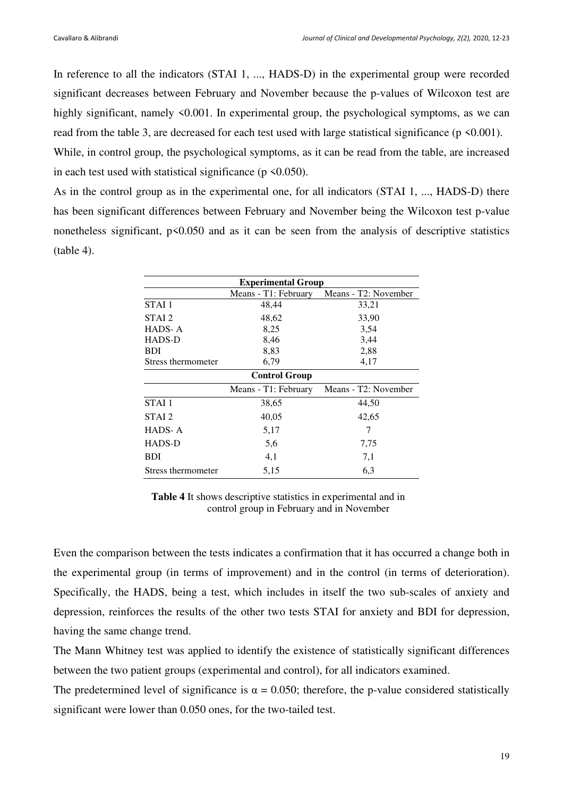In reference to all the indicators (STAI 1, ..., HADS-D) in the experimental group were recorded significant decreases between February and November because the p-values of Wilcoxon test are highly significant, namely  $\leq 0.001$ . In experimental group, the psychological symptoms, as we can read from the table 3, are decreased for each test used with large statistical significance (p <0.001).

While, in control group, the psychological symptoms, as it can be read from the table, are increased in each test used with statistical significance ( $p \le 0.050$ ).

As in the control group as in the experimental one, for all indicators (STAI 1, ..., HADS-D) there has been significant differences between February and November being the Wilcoxon test p-value nonetheless significant, p<0.050 and as it can be seen from the analysis of descriptive statistics (table 4).

| <b>Experimental Group</b> |                      |                      |  |  |  |
|---------------------------|----------------------|----------------------|--|--|--|
|                           | Means - T1: February | Means - T2: November |  |  |  |
| STAI 1                    | 48,44                | 33,21                |  |  |  |
| STAI 2                    | 48,62                | 33,90                |  |  |  |
| HADS-A                    | 8,25                 | 3,54                 |  |  |  |
| HADS-D                    | 8,46                 | 3,44                 |  |  |  |
| <b>BDI</b>                | 8,83                 | 2,88                 |  |  |  |
| Stress thermometer        | 6,79                 | 4,17                 |  |  |  |
| <b>Control Group</b>      |                      |                      |  |  |  |
|                           | Means - T1: February | Means - T2: November |  |  |  |
| STAI <sub>1</sub>         | 38,65                | 44,50                |  |  |  |
| STAI 2                    | 40,05                | 42,65                |  |  |  |
| HADS-A                    | 5,17                 | 7                    |  |  |  |
| HADS-D                    | 5,6                  | 7,75                 |  |  |  |
| BDI                       | 4,1                  | 7,1                  |  |  |  |
| Stress thermometer        | 5,15                 | 6,3                  |  |  |  |

**Table 4** It shows descriptive statistics in experimental and in control group in February and in November

Even the comparison between the tests indicates a confirmation that it has occurred a change both in the experimental group (in terms of improvement) and in the control (in terms of deterioration). Specifically, the HADS, being a test, which includes in itself the two sub-scales of anxiety and depression, reinforces the results of the other two tests STAI for anxiety and BDI for depression, having the same change trend.

The Mann Whitney test was applied to identify the existence of statistically significant differences between the two patient groups (experimental and control), for all indicators examined.

The predetermined level of significance is  $\alpha = 0.050$ ; therefore, the p-value considered statistically significant were lower than 0.050 ones, for the two-tailed test.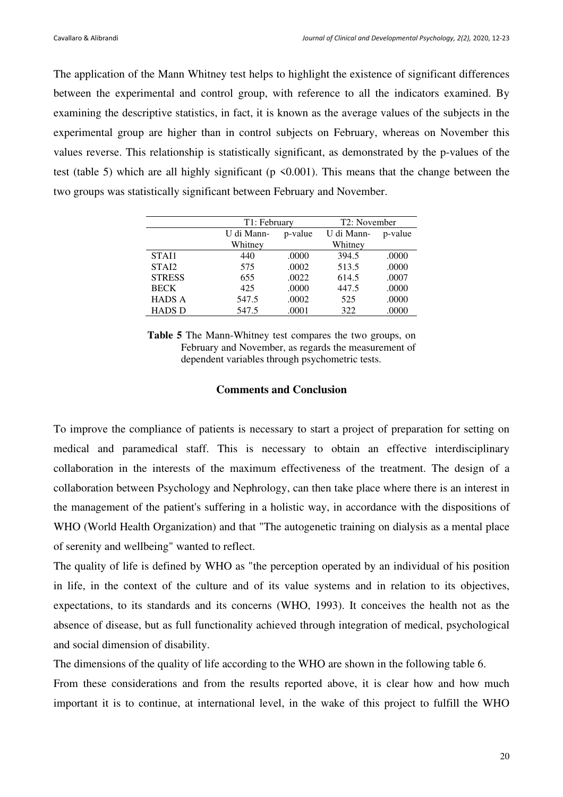The application of the Mann Whitney test helps to highlight the existence of significant differences between the experimental and control group, with reference to all the indicators examined. By examining the descriptive statistics, in fact, it is known as the average values of the subjects in the experimental group are higher than in control subjects on February, whereas on November this values reverse. This relationship is statistically significant, as demonstrated by the p-values of the test (table 5) which are all highly significant ( $p \le 0.001$ ). This means that the change between the two groups was statistically significant between February and November.

|               | T1: February          |       | T2: November |         |
|---------------|-----------------------|-------|--------------|---------|
|               | U di Mann-<br>p-value |       | U di Mann-   | p-value |
|               | Whitney               |       | Whitney      |         |
| STAI1         | 440                   | .0000 | 394.5        | .0000   |
| STAI2         | 575                   | .0002 | 513.5        | .0000   |
| <b>STRESS</b> | 655                   | .0022 | 614.5        | .0007   |
| <b>BECK</b>   | 425                   | .0000 | 447.5        | .0000   |
| <b>HADS A</b> | 547.5                 | .0002 | 525          | .0000   |
| <b>HADS D</b> | 547.5                 | .0001 | 322          | .0000   |

**Table 5** The Mann-Whitney test compares the two groups, on February and November, as regards the measurement of dependent variables through psychometric tests.

### **Comments and Conclusion**

To improve the compliance of patients is necessary to start a project of preparation for setting on medical and paramedical staff. This is necessary to obtain an effective interdisciplinary collaboration in the interests of the maximum effectiveness of the treatment. The design of a collaboration between Psychology and Nephrology, can then take place where there is an interest in the management of the patient's suffering in a holistic way, in accordance with the dispositions of WHO (World Health Organization) and that "The autogenetic training on dialysis as a mental place of serenity and wellbeing" wanted to reflect.

The quality of life is defined by WHO as "the perception operated by an individual of his position in life, in the context of the culture and of its value systems and in relation to its objectives, expectations, to its standards and its concerns (WHO, 1993). It conceives the health not as the absence of disease, but as full functionality achieved through integration of medical, psychological and social dimension of disability.

The dimensions of the quality of life according to the WHO are shown in the following table 6.

From these considerations and from the results reported above, it is clear how and how much important it is to continue, at international level, in the wake of this project to fulfill the WHO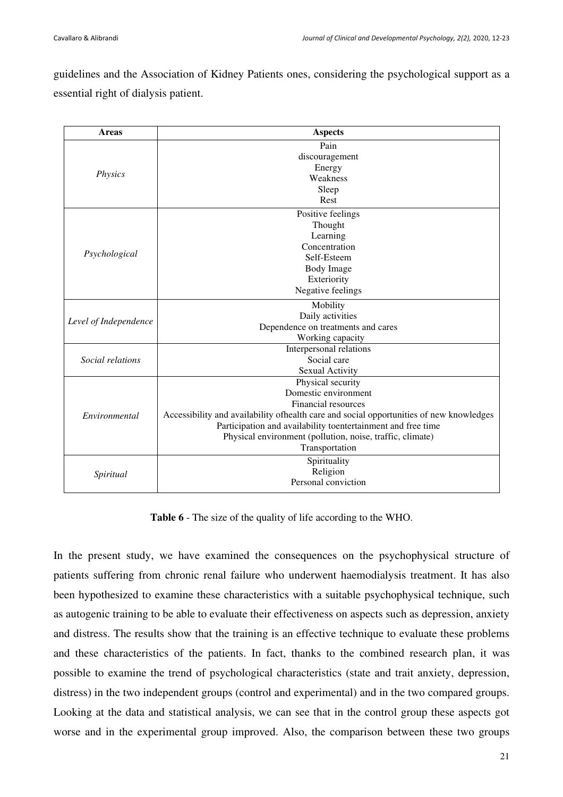guidelines and the Association of Kidney Patients ones, considering the psychological support as a essential right of dialysis patient.

| <b>Areas</b>          | <b>Aspects</b>                                                                           |  |  |  |  |
|-----------------------|------------------------------------------------------------------------------------------|--|--|--|--|
|                       | Pain                                                                                     |  |  |  |  |
|                       | discouragement                                                                           |  |  |  |  |
|                       | Energy                                                                                   |  |  |  |  |
| <i>Physics</i>        | Weakness                                                                                 |  |  |  |  |
|                       | Sleep                                                                                    |  |  |  |  |
|                       | Rest                                                                                     |  |  |  |  |
|                       | Positive feelings                                                                        |  |  |  |  |
|                       | Thought                                                                                  |  |  |  |  |
|                       | Learning                                                                                 |  |  |  |  |
|                       | Concentration                                                                            |  |  |  |  |
| Psychological         | Self-Esteem                                                                              |  |  |  |  |
|                       | <b>Body Image</b>                                                                        |  |  |  |  |
|                       | Exteriority                                                                              |  |  |  |  |
|                       | Negative feelings                                                                        |  |  |  |  |
|                       | Mobility                                                                                 |  |  |  |  |
| Level of Independence | Daily activities                                                                         |  |  |  |  |
|                       | Dependence on treatments and cares                                                       |  |  |  |  |
|                       | Working capacity                                                                         |  |  |  |  |
|                       | Interpersonal relations                                                                  |  |  |  |  |
| Social relations      | Social care                                                                              |  |  |  |  |
|                       | Sexual Activity                                                                          |  |  |  |  |
|                       | Physical security                                                                        |  |  |  |  |
| Environmental         | Domestic environment                                                                     |  |  |  |  |
|                       | Financial resources                                                                      |  |  |  |  |
|                       | Accessibility and availability of health care and social opportunities of new knowledges |  |  |  |  |
|                       | Participation and availability toentertainment and free time                             |  |  |  |  |
|                       | Physical environment (pollution, noise, traffic, climate)                                |  |  |  |  |
|                       | Transportation                                                                           |  |  |  |  |
|                       | Spirituality                                                                             |  |  |  |  |
| Spiritual             | Religion                                                                                 |  |  |  |  |
|                       | Personal conviction                                                                      |  |  |  |  |
|                       |                                                                                          |  |  |  |  |

**Table 6** - The size of the quality of life according to the WHO.

In the present study, we have examined the consequences on the psychophysical structure of patients suffering from chronic renal failure who underwent haemodialysis treatment. It has also been hypothesized to examine these characteristics with a suitable psychophysical technique, such as autogenic training to be able to evaluate their effectiveness on aspects such as depression, anxiety and distress. The results show that the training is an effective technique to evaluate these problems and these characteristics of the patients. In fact, thanks to the combined research plan, it was possible to examine the trend of psychological characteristics (state and trait anxiety, depression, distress) in the two independent groups (control and experimental) and in the two compared groups. Looking at the data and statistical analysis, we can see that in the control group these aspects got worse and in the experimental group improved. Also, the comparison between these two groups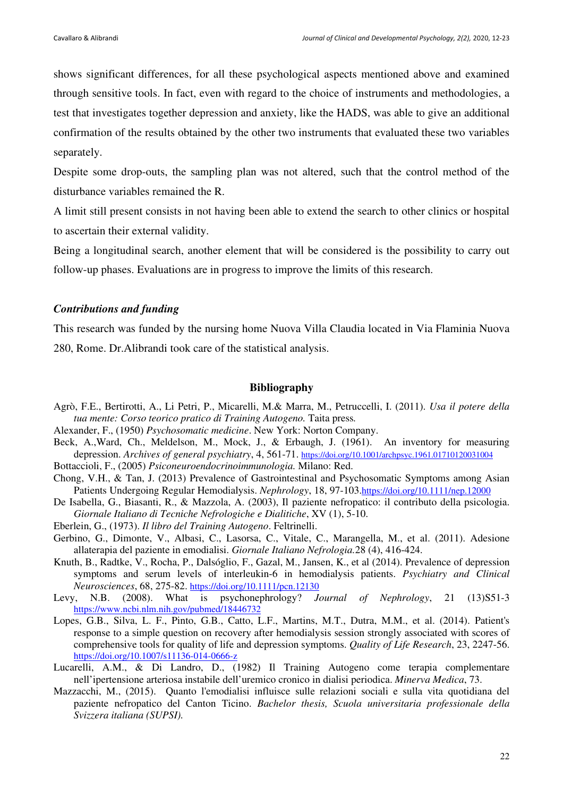shows significant differences, for all these psychological aspects mentioned above and examined through sensitive tools. In fact, even with regard to the choice of instruments and methodologies, a test that investigates together depression and anxiety, like the HADS, was able to give an additional confirmation of the results obtained by the other two instruments that evaluated these two variables separately.

Despite some drop-outs, the sampling plan was not altered, such that the control method of the disturbance variables remained the R.

A limit still present consists in not having been able to extend the search to other clinics or hospital to ascertain their external validity.

Being a longitudinal search, another element that will be considered is the possibility to carry out follow-up phases. Evaluations are in progress to improve the limits of this research.

## *Contributions and funding*

This research was funded by the nursing home Nuova Villa Claudia located in Via Flaminia Nuova 280, Rome. Dr.Alibrandi took care of the statistical analysis.

#### **Bibliography**

- Agrò, F.E., Bertirotti, A., Li Petri, P., Micarelli, M.& Marra, M., Petruccelli, I. (2011). *Usa il potere della tua mente: Corso teorico pratico di Training Autogeno.* Taita press*.*
- Alexander, F., (1950) *Psychosomatic medicine*. New York: Norton Company.
- Beck, A.,Ward, Ch., Meldelson, M., Mock, J., & Erbaugh, J. (1961). An inventory for measuring depression. *Archives of general psychiatry*, 4, 561-71. https://doi.org/10.1001/archpsyc.1961.01710120031004
- Bottaccioli, F., (2005) *Psiconeuroendocrinoimmunologia.* Milano: Red.
- Chong, V.H., & Tan, J. (2013) Prevalence of Gastrointestinal and Psychosomatic Symptoms among Asian Patients Undergoing Regular Hemodialysis. *Nephrology*, 18, 97-103.https://doi.org/10.1111/nep.12000
- De Isabella, G., Biasanti, R., & Mazzola, A. (2003), Il paziente nefropatico: il contributo della psicologia. *Giornale Italiano di Tecniche Nefrologiche e Dialitiche*, XV (1), 5-10.
- Eberlein, G., (1973). *Il libro del Training Autogeno*. Feltrinelli.
- Gerbino, G., Dimonte, V., Albasi, C., Lasorsa, C., Vitale, C., Marangella, M., et al. (2011). Adesione allaterapia del paziente in emodialisi. *Giornale Italiano Nefrologia.*28 (4), 416-424.
- Knuth, B., Radtke, V., Rocha, P., Dalsóglio, F., Gazal, M., Jansen, K., et al (2014). Prevalence of depression symptoms and serum levels of interleukin-6 in hemodialysis patients. *Psychiatry and Clinical Neurosciences*, 68, 275-82. https://doi.org/10.1111/pcn.12130
- Levy, N.B. (2008). What is psychonephrology? *Journal of Nephrology*, 21 (13)S51-3 https://www.ncbi.nlm.nih.gov/pubmed/18446732
- Lopes, G.B., Silva, L. F., Pinto, G.B., Catto, L.F., Martins, M.T., Dutra, M.M., et al. (2014). Patient's response to a simple question on recovery after hemodialysis session strongly associated with scores of comprehensive tools for quality of life and depression symptoms. *Quality of Life Research*, 23, 2247-56. https://doi.org/10.1007/s11136-014-0666-z
- Lucarelli, A.M., & Di Landro, D., (1982) Il Training Autogeno come terapia complementare nell'ipertensione arteriosa instabile dell'uremico cronico in dialisi periodica. *Minerva Medica*, 73.
- Mazzacchi, M., (2015). Quanto l'emodialisi influisce sulle relazioni sociali e sulla vita quotidiana del paziente nefropatico del Canton Ticino. *Bachelor thesis, Scuola universitaria professionale della Svizzera italiana (SUPSI).*